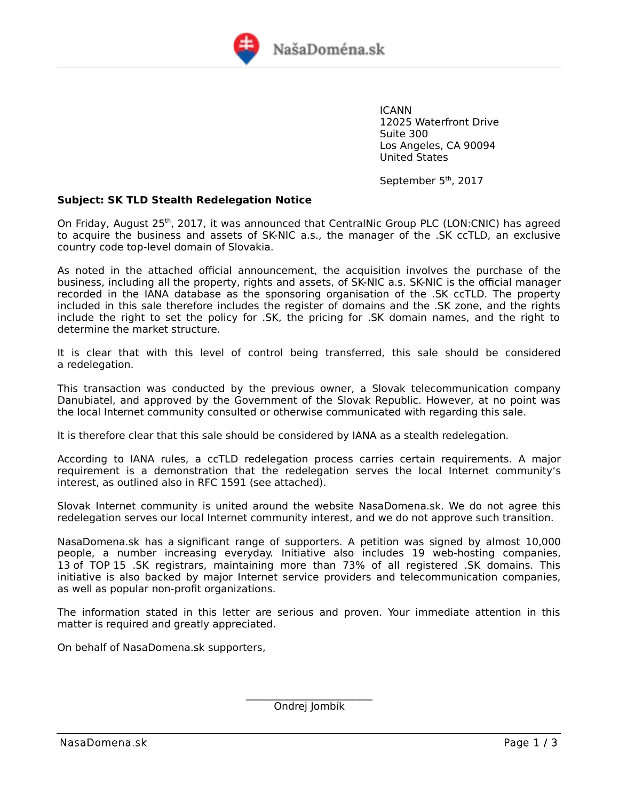

ICANN 12025 Waterfront Drive Suite 300 Los Angeles, CA 90094 United States

September 5<sup>th</sup>, 2017

#### **Subject: SK TLD Stealth Redelegation Notice**

On Friday, August 25<sup>th</sup>, 2017, it was announced that CentralNic Group PLC (LON:CNIC) has agreed to acquire the business and assets of SK-NIC a.s., the manager of the .SK ccTLD, an exclusive country code top-level domain of Slovakia.

As noted in the attached official announcement, the acquisition involves the purchase of the business, including all the property, rights and assets, of SK-NIC a.s. SK-NIC is the official manager recorded in the IANA database as the sponsoring organisation of the .SK ccTLD. The property included in this sale therefore includes the register of domains and the .SK zone, and the rights include the right to set the policy for .SK, the pricing for .SK domain names, and the right to determine the market structure.

It is clear that with this level of control being transferred, this sale should be considered a redelegation.

This transaction was conducted by the previous owner, a Slovak telecommunication company Danubiatel, and approved by the Government of the Slovak Republic. However, at no point was the local Internet community consulted or otherwise communicated with regarding this sale.

It is therefore clear that this sale should be considered by IANA as a stealth redelegation.

According to IANA rules, a ccTLD redelegation process carries certain requirements. A major requirement is a demonstration that the redelegation serves the local Internet community's interest, as outlined also in RFC 1591 (see attached).

Slovak Internet community is united around the website NasaDomena.sk. We do not agree this redelegation serves our local Internet community interest, and we do not approve such transition.

NasaDomena.sk has a significant range of supporters. A petition was signed by almost 10,000 people, a number increasing everyday. Initiative also includes 19 web-hosting companies, 13 of TOP 15 .SK registrars, maintaining more than 73% of all registered .SK domains. This initiative is also backed by major Internet service providers and telecommunication companies, as well as popular non-profit organizations.

The information stated in this letter are serious and proven. Your immediate attention in this matter is required and greatly appreciated.

On behalf of NasaDomena.sk supporters,

Ondrej Jombík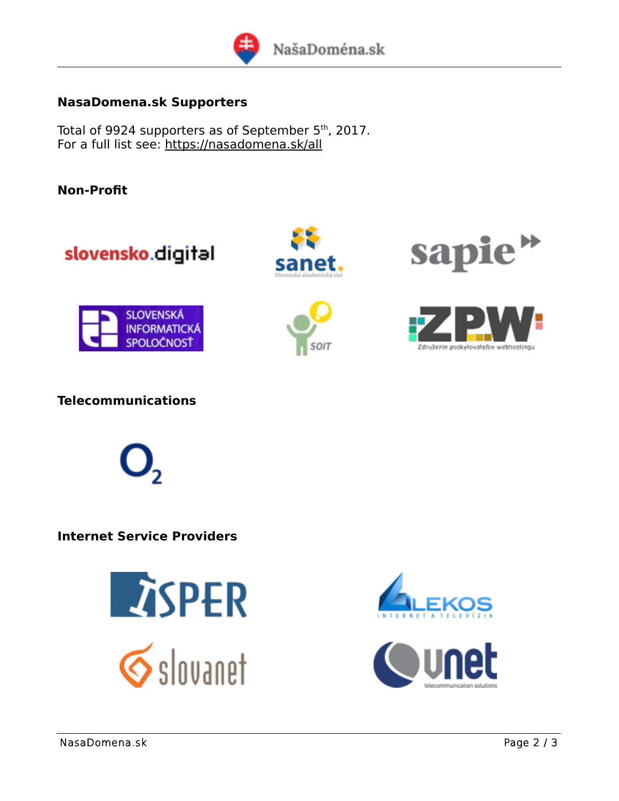

sanet.

### **NasaDomena.sk Supporters**

Total of 9924 supporters as of September 5<sup>th</sup>, 2017. For a full list see: [https://nasadomena.sk/all](https://www.nasadomena.sk/all/)

**Non-Profit**

slovensko.digital



## **Telecommunications**

## **Internet Service Providers**





sapie<sup>\*</sup>

Edruženie poskytovateľov webhostingu

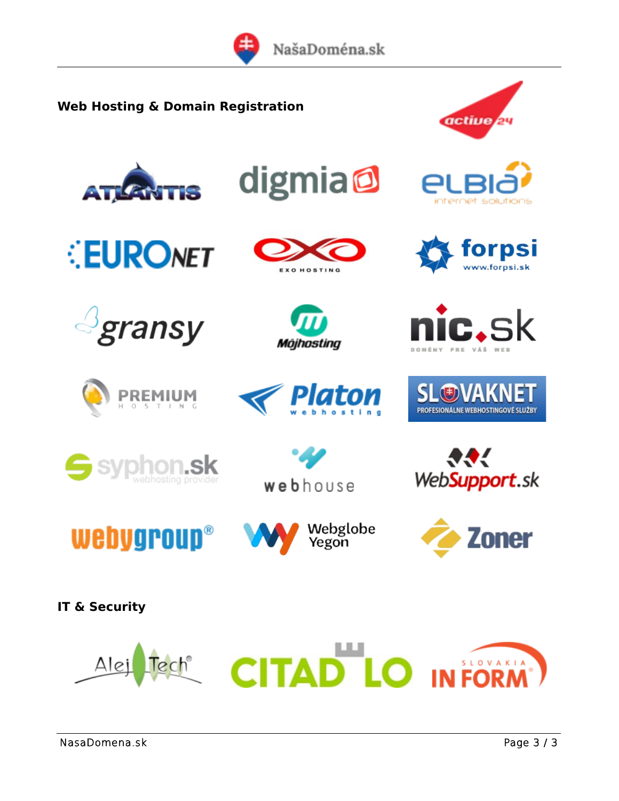NašaDoména.sk

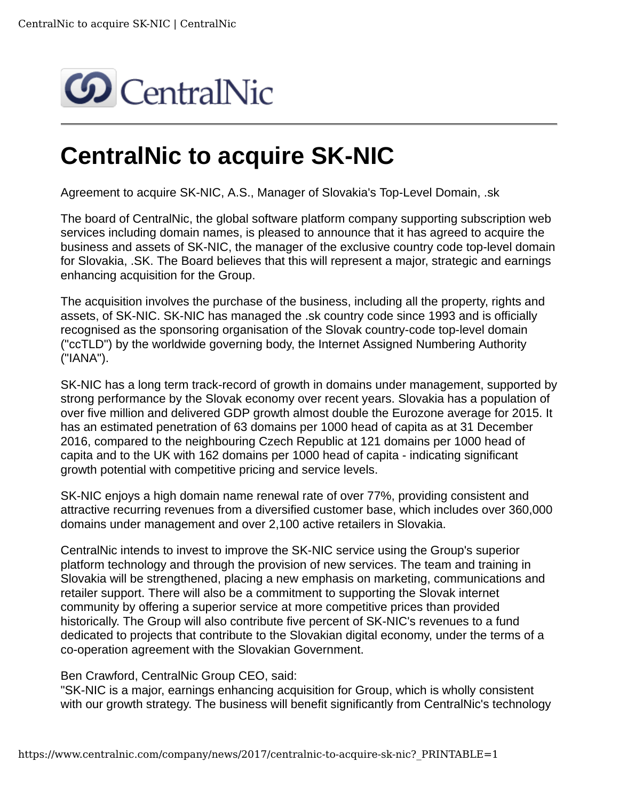

# **CentralNic to acquire SK-NIC**

Agreement to acquire SK-NIC, A.S., Manager of Slovakia's Top-Level Domain, .sk

The board of CentralNic, the global software platform company supporting subscription web services including domain names, is pleased to announce that it has agreed to acquire the business and assets of SK-NIC, the manager of the exclusive country code top-level domain for Slovakia, .SK. The Board believes that this will represent a major, strategic and earnings enhancing acquisition for the Group.

The acquisition involves the purchase of the business, including all the property, rights and assets, of SK-NIC. SK-NIC has managed the .sk country code since 1993 and is officially recognised as the sponsoring organisation of the Slovak country-code top-level domain ("ccTLD") by the worldwide governing body, the Internet Assigned Numbering Authority ("IANA").

SK-NIC has a long term track-record of growth in domains under management, supported by strong performance by the Slovak economy over recent years. Slovakia has a population of over five million and delivered GDP growth almost double the Eurozone average for 2015. It has an estimated penetration of 63 domains per 1000 head of capita as at 31 December 2016, compared to the neighbouring Czech Republic at 121 domains per 1000 head of capita and to the UK with 162 domains per 1000 head of capita - indicating significant growth potential with competitive pricing and service levels.

SK-NIC enjoys a high domain name renewal rate of over 77%, providing consistent and attractive recurring revenues from a diversified customer base, which includes over 360,000 domains under management and over 2,100 active retailers in Slovakia.

CentralNic intends to invest to improve the SK-NIC service using the Group's superior platform technology and through the provision of new services. The team and training in Slovakia will be strengthened, placing a new emphasis on marketing, communications and retailer support. There will also be a commitment to supporting the Slovak internet community by offering a superior service at more competitive prices than provided historically. The Group will also contribute five percent of SK-NIC's revenues to a fund dedicated to projects that contribute to the Slovakian digital economy, under the terms of a co-operation agreement with the Slovakian Government.

### Ben Crawford, CentralNic Group CEO, said:

"SK-NIC is a major, earnings enhancing acquisition for Group, which is wholly consistent with our growth strategy. The business will benefit significantly from CentralNic's technology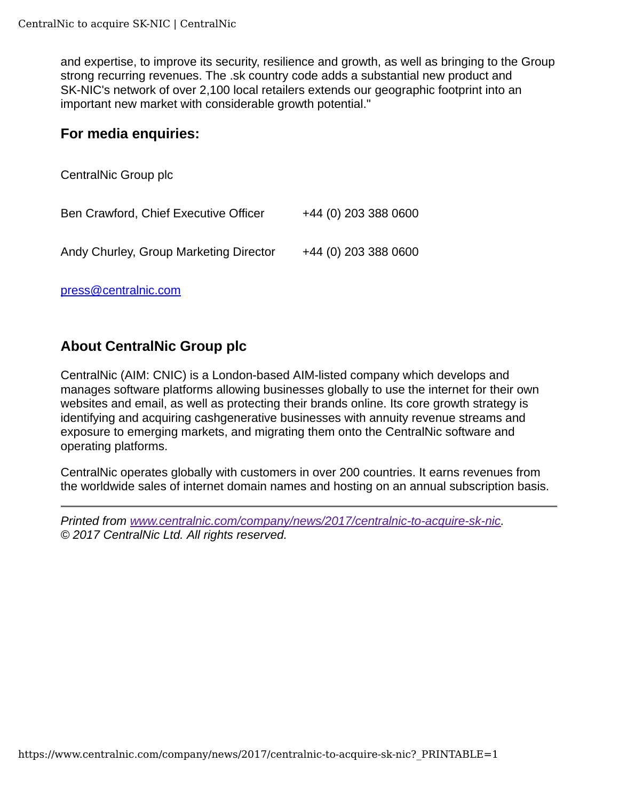and expertise, to improve its security, resilience and growth, as well as bringing to the Group strong recurring revenues. The .sk country code adds a substantial new product and SK-NIC's network of over 2,100 local retailers extends our geographic footprint into an important new market with considerable growth potential."

### **For media enquiries:**

CentralNic Group plc Ben Crawford, Chief Executive Officer +44 (0) 203 388 0600 Andy Churley, Group Marketing Director +44 (0) 203 388 0600

press@centralnic.com

# **About CentralNic Group plc**

CentralNic (AIM: CNIC) is a London-based AIM-listed company which develops and manages software platforms allowing businesses globally to use the internet for their own websites and email, as well as protecting their brands online. Its core growth strategy is identifying and acquiring cashgenerative businesses with annuity revenue streams and exposure to emerging markets, and migrating them onto the CentralNic software and operating platforms.

CentralNic operates globally with customers in over 200 countries. It earns revenues from the worldwide sales of internet domain names and hosting on an annual subscription basis.

*Printed from www.centralnic.com/company/news/2017/centralnic-to-acquire-sk-nic. © 2017 CentralNic Ltd. All rights reserved.*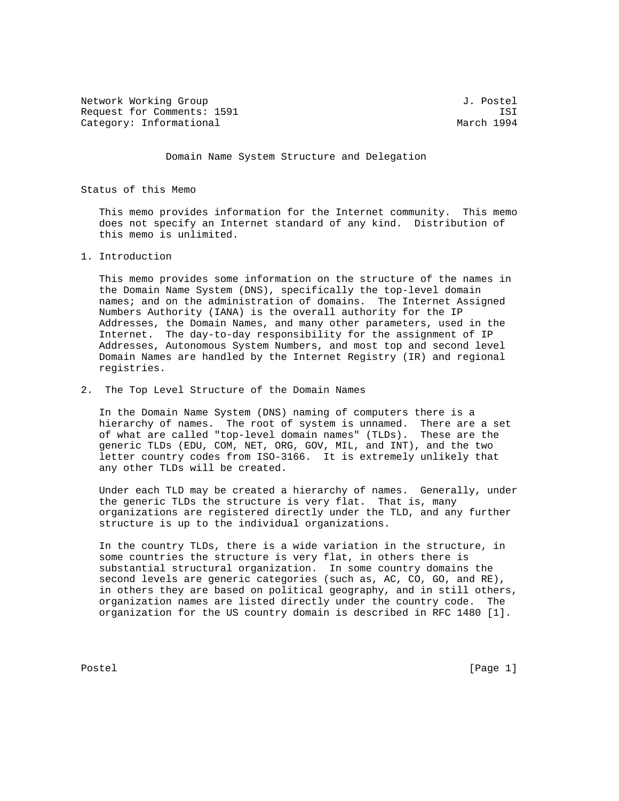Network Working Group 3. 2008 3. Postel Request for Comments: 1591 ISI Category: Informational and March 1994

Domain Name System Structure and Delegation

Status of this Memo

 This memo provides information for the Internet community. This memo does not specify an Internet standard of any kind. Distribution of this memo is unlimited.

1. Introduction

 This memo provides some information on the structure of the names in the Domain Name System (DNS), specifically the top-level domain names; and on the administration of domains. The Internet Assigned Numbers Authority (IANA) is the overall authority for the IP Addresses, the Domain Names, and many other parameters, used in the Internet. The day-to-day responsibility for the assignment of IP Addresses, Autonomous System Numbers, and most top and second level Domain Names are handled by the Internet Registry (IR) and regional registries.

2. The Top Level Structure of the Domain Names

 In the Domain Name System (DNS) naming of computers there is a hierarchy of names. The root of system is unnamed. There are a set of what are called "top-level domain names" (TLDs). These are the generic TLDs (EDU, COM, NET, ORG, GOV, MIL, and INT), and the two letter country codes from ISO-3166. It is extremely unlikely that any other TLDs will be created.

 Under each TLD may be created a hierarchy of names. Generally, under the generic TLDs the structure is very flat. That is, many organizations are registered directly under the TLD, and any further structure is up to the individual organizations.

 In the country TLDs, there is a wide variation in the structure, in some countries the structure is very flat, in others there is substantial structural organization. In some country domains the second levels are generic categories (such as, AC, CO, GO, and RE), in others they are based on political geography, and in still others, organization names are listed directly under the country code. The organization for the US country domain is described in RFC 1480 [1].

Postel [Page 1] [Page 1]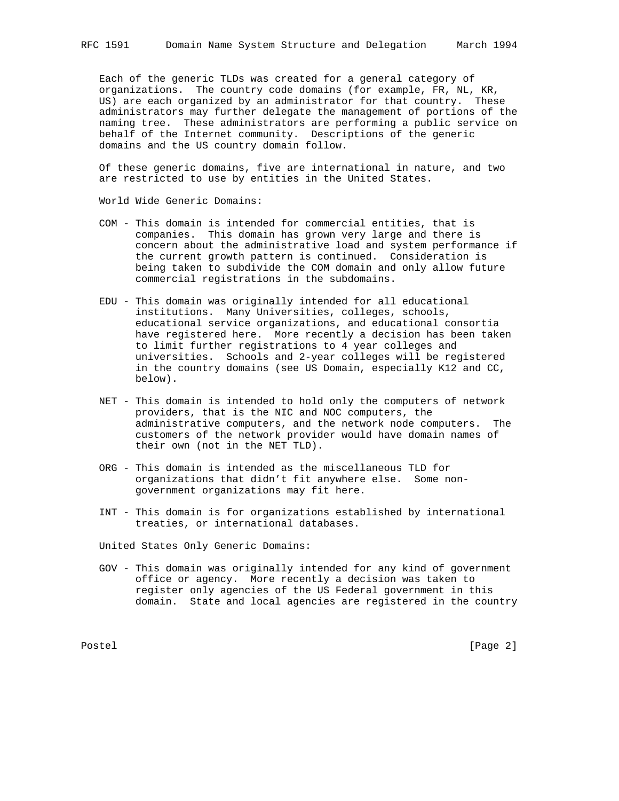Each of the generic TLDs was created for a general category of organizations. The country code domains (for example, FR, NL, KR, US) are each organized by an administrator for that country. These administrators may further delegate the management of portions of the naming tree. These administrators are performing a public service on behalf of the Internet community. Descriptions of the generic domains and the US country domain follow.

 Of these generic domains, five are international in nature, and two are restricted to use by entities in the United States.

World Wide Generic Domains:

- COM This domain is intended for commercial entities, that is companies. This domain has grown very large and there is concern about the administrative load and system performance if the current growth pattern is continued. Consideration is being taken to subdivide the COM domain and only allow future commercial registrations in the subdomains.
- EDU This domain was originally intended for all educational institutions. Many Universities, colleges, schools, educational service organizations, and educational consortia have registered here. More recently a decision has been taken to limit further registrations to 4 year colleges and universities. Schools and 2-year colleges will be registered in the country domains (see US Domain, especially K12 and CC, below).
- NET This domain is intended to hold only the computers of network providers, that is the NIC and NOC computers, the administrative computers, and the network node computers. The customers of the network provider would have domain names of their own (not in the NET TLD).
- ORG This domain is intended as the miscellaneous TLD for organizations that didn't fit anywhere else. Some non government organizations may fit here.
- INT This domain is for organizations established by international treaties, or international databases.

United States Only Generic Domains:

 GOV - This domain was originally intended for any kind of government office or agency. More recently a decision was taken to register only agencies of the US Federal government in this domain. State and local agencies are registered in the country

Postel [Page 2]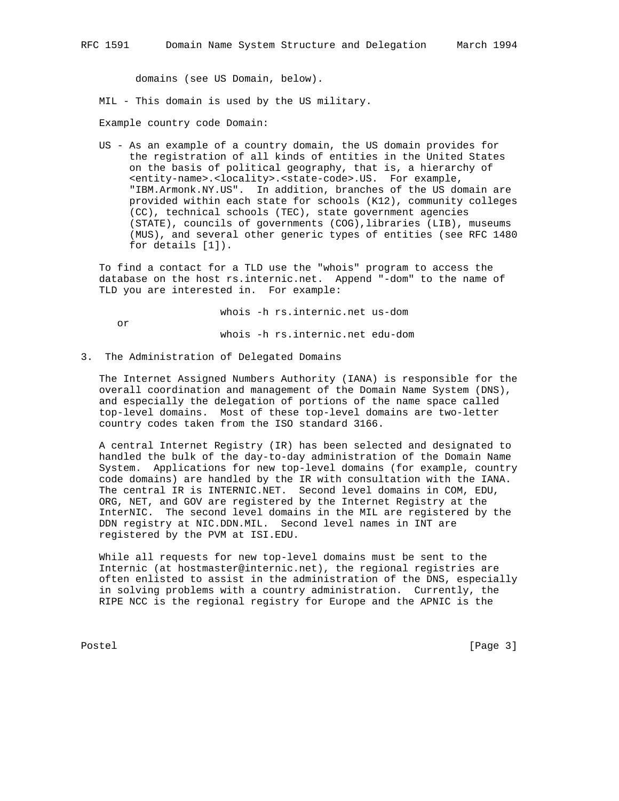domains (see US Domain, below).

MIL - This domain is used by the US military.

Example country code Domain:

 US - As an example of a country domain, the US domain provides for the registration of all kinds of entities in the United States on the basis of political geography, that is, a hierarchy of <entity-name>.<locality>.<state-code>.US. For example, "IBM.Armonk.NY.US". In addition, branches of the US domain are provided within each state for schools (K12), community colleges (CC), technical schools (TEC), state government agencies (STATE), councils of governments (COG),libraries (LIB), museums (MUS), and several other generic types of entities (see RFC 1480 for details [1]).

 To find a contact for a TLD use the "whois" program to access the database on the host rs.internic.net. Append "-dom" to the name of TLD you are interested in. For example:

whois -h rs.internic.net us-dom

or

whois -h rs.internic.net edu-dom

3. The Administration of Delegated Domains

 The Internet Assigned Numbers Authority (IANA) is responsible for the overall coordination and management of the Domain Name System (DNS), and especially the delegation of portions of the name space called top-level domains. Most of these top-level domains are two-letter country codes taken from the ISO standard 3166.

 A central Internet Registry (IR) has been selected and designated to handled the bulk of the day-to-day administration of the Domain Name System. Applications for new top-level domains (for example, country code domains) are handled by the IR with consultation with the IANA. The central IR is INTERNIC.NET. Second level domains in COM, EDU, ORG, NET, and GOV are registered by the Internet Registry at the InterNIC. The second level domains in the MIL are registered by the DDN registry at NIC.DDN.MIL. Second level names in INT are registered by the PVM at ISI.EDU.

 While all requests for new top-level domains must be sent to the Internic (at hostmaster@internic.net), the regional registries are often enlisted to assist in the administration of the DNS, especially in solving problems with a country administration. Currently, the RIPE NCC is the regional registry for Europe and the APNIC is the

Postel [Page 3]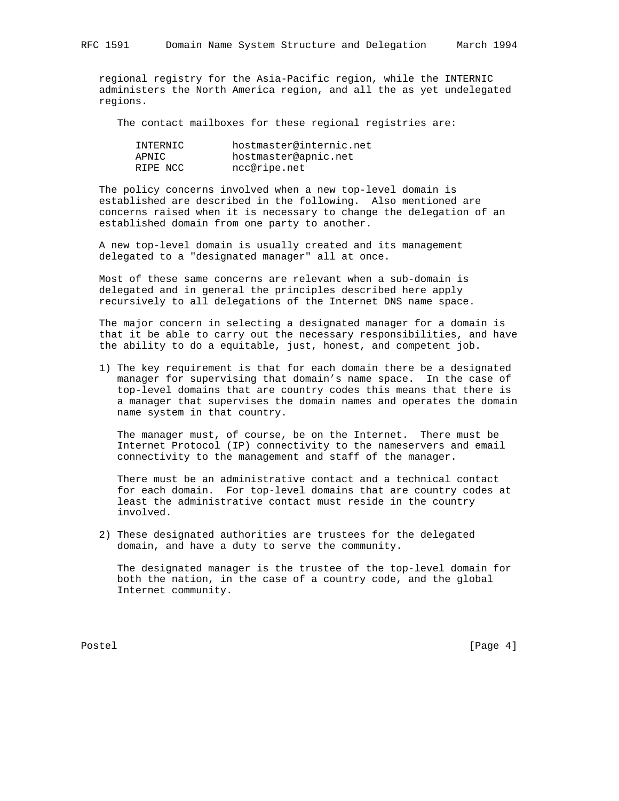regional registry for the Asia-Pacific region, while the INTERNIC administers the North America region, and all the as yet undelegated regions.

The contact mailboxes for these regional registries are:

| INTERNIC | hostmaster@internic.net |
|----------|-------------------------|
| APNIC    | hostmaster@apnic.net    |
| RIPE NCC | ncc@ripe.net            |

 The policy concerns involved when a new top-level domain is established are described in the following. Also mentioned are concerns raised when it is necessary to change the delegation of an established domain from one party to another.

 A new top-level domain is usually created and its management delegated to a "designated manager" all at once.

 Most of these same concerns are relevant when a sub-domain is delegated and in general the principles described here apply recursively to all delegations of the Internet DNS name space.

 The major concern in selecting a designated manager for a domain is that it be able to carry out the necessary responsibilities, and have the ability to do a equitable, just, honest, and competent job.

 1) The key requirement is that for each domain there be a designated manager for supervising that domain's name space. In the case of top-level domains that are country codes this means that there is a manager that supervises the domain names and operates the domain name system in that country.

 The manager must, of course, be on the Internet. There must be Internet Protocol (IP) connectivity to the nameservers and email connectivity to the management and staff of the manager.

 There must be an administrative contact and a technical contact for each domain. For top-level domains that are country codes at least the administrative contact must reside in the country involved.

 2) These designated authorities are trustees for the delegated domain, and have a duty to serve the community.

 The designated manager is the trustee of the top-level domain for both the nation, in the case of a country code, and the global Internet community.

Postel [Page 4] [Page 4]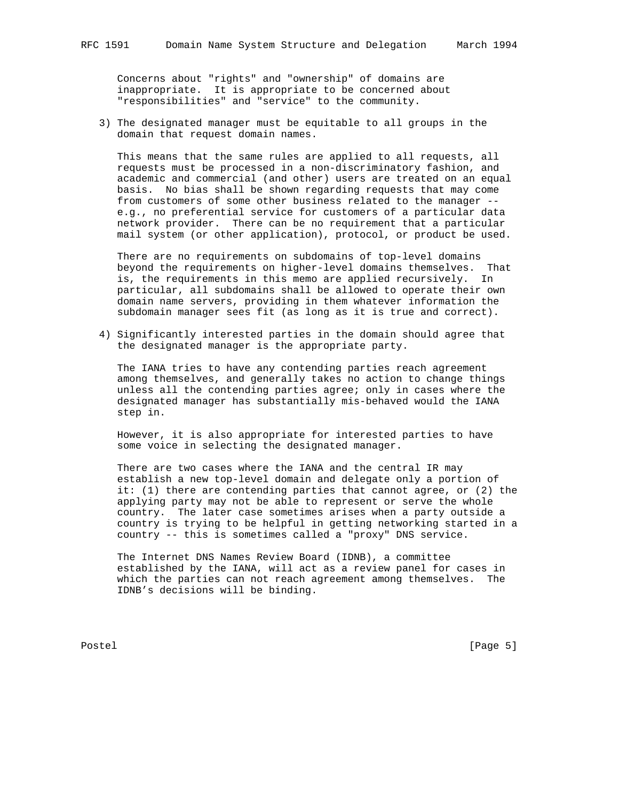Concerns about "rights" and "ownership" of domains are inappropriate. It is appropriate to be concerned about "responsibilities" and "service" to the community.

 3) The designated manager must be equitable to all groups in the domain that request domain names.

 This means that the same rules are applied to all requests, all requests must be processed in a non-discriminatory fashion, and academic and commercial (and other) users are treated on an equal basis. No bias shall be shown regarding requests that may come from customers of some other business related to the manager - e.g., no preferential service for customers of a particular data network provider. There can be no requirement that a particular mail system (or other application), protocol, or product be used.

 There are no requirements on subdomains of top-level domains beyond the requirements on higher-level domains themselves. That is, the requirements in this memo are applied recursively. In particular, all subdomains shall be allowed to operate their own domain name servers, providing in them whatever information the subdomain manager sees fit (as long as it is true and correct).

 4) Significantly interested parties in the domain should agree that the designated manager is the appropriate party.

 The IANA tries to have any contending parties reach agreement among themselves, and generally takes no action to change things unless all the contending parties agree; only in cases where the designated manager has substantially mis-behaved would the IANA step in.

 However, it is also appropriate for interested parties to have some voice in selecting the designated manager.

 There are two cases where the IANA and the central IR may establish a new top-level domain and delegate only a portion of it: (1) there are contending parties that cannot agree, or (2) the applying party may not be able to represent or serve the whole country. The later case sometimes arises when a party outside a country is trying to be helpful in getting networking started in a country -- this is sometimes called a "proxy" DNS service.

 The Internet DNS Names Review Board (IDNB), a committee established by the IANA, will act as a review panel for cases in which the parties can not reach agreement among themselves. The IDNB's decisions will be binding.

Postel [Page 5]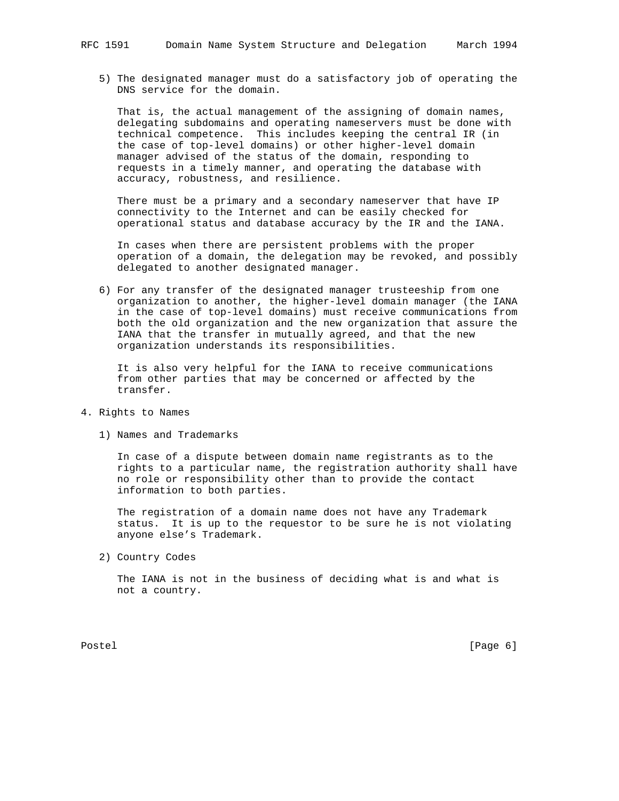5) The designated manager must do a satisfactory job of operating the DNS service for the domain.

 That is, the actual management of the assigning of domain names, delegating subdomains and operating nameservers must be done with technical competence. This includes keeping the central IR (in the case of top-level domains) or other higher-level domain manager advised of the status of the domain, responding to requests in a timely manner, and operating the database with accuracy, robustness, and resilience.

 There must be a primary and a secondary nameserver that have IP connectivity to the Internet and can be easily checked for operational status and database accuracy by the IR and the IANA.

 In cases when there are persistent problems with the proper operation of a domain, the delegation may be revoked, and possibly delegated to another designated manager.

 6) For any transfer of the designated manager trusteeship from one organization to another, the higher-level domain manager (the IANA in the case of top-level domains) must receive communications from both the old organization and the new organization that assure the IANA that the transfer in mutually agreed, and that the new organization understands its responsibilities.

 It is also very helpful for the IANA to receive communications from other parties that may be concerned or affected by the transfer.

- 4. Rights to Names
	- 1) Names and Trademarks

 In case of a dispute between domain name registrants as to the rights to a particular name, the registration authority shall have no role or responsibility other than to provide the contact information to both parties.

 The registration of a domain name does not have any Trademark status. It is up to the requestor to be sure he is not violating anyone else's Trademark.

2) Country Codes

 The IANA is not in the business of deciding what is and what is not a country.

Postel [Page 6] [Page 6] [Page 6] [Page 6] [Page 6] [Page 6] [Page 6] [Page 6] [Page 6] [Page 6] [Page 6] [Page 6] [Page 6] [Page 6] [Page 6] [Page 6] [Page 6] [Page 6] [Page 6] [Page 6] [Page 6] [Page 6] [Page 6] [Page 6]